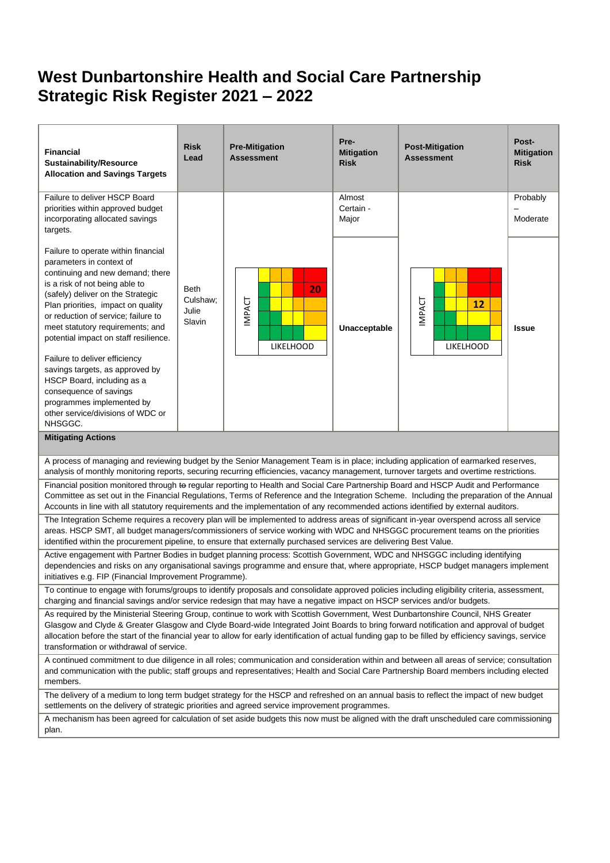# **West Dunbartonshire Health and Social Care Partnership Strategic Risk Register 2021 – 2022**

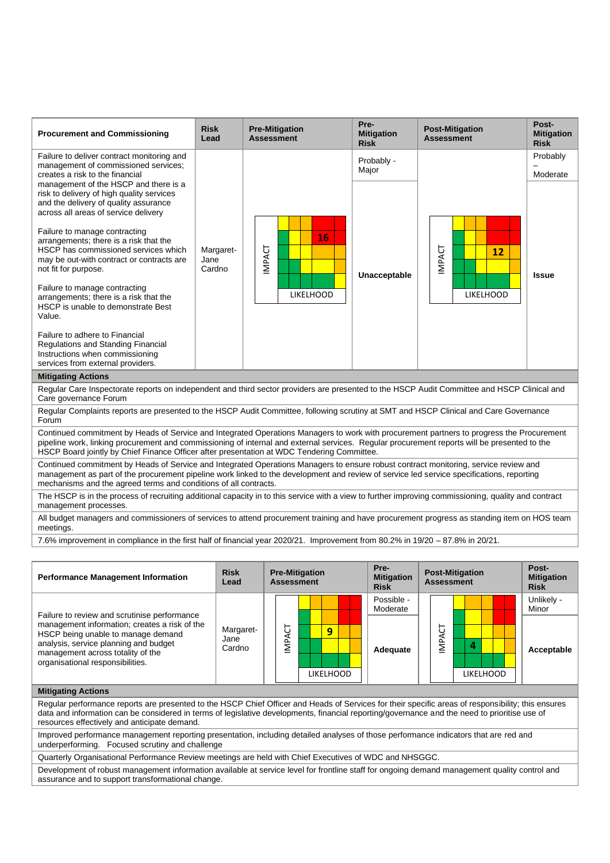| <b>Procurement and Commissioning</b>                                                                                                                                                                                                                                                                                                                                                    | <b>Risk</b><br>Lead         | <b>Pre-Mitigation</b><br><b>Assessment</b> | Pre-<br><b>Mitigation</b><br><b>Risk</b> | <b>Post-Mitigation</b><br><b>Assessment</b> | Post-<br><b>Mitigation</b><br><b>Risk</b> |  |  |  |
|-----------------------------------------------------------------------------------------------------------------------------------------------------------------------------------------------------------------------------------------------------------------------------------------------------------------------------------------------------------------------------------------|-----------------------------|--------------------------------------------|------------------------------------------|---------------------------------------------|-------------------------------------------|--|--|--|
| Failure to deliver contract monitoring and<br>management of commissioned services;<br>creates a risk to the financial                                                                                                                                                                                                                                                                   |                             |                                            | Probably -<br>Major                      |                                             | Probably<br>Moderate                      |  |  |  |
| management of the HSCP and there is a<br>risk to delivery of high quality services<br>and the delivery of quality assurance<br>across all areas of service delivery                                                                                                                                                                                                                     |                             |                                            |                                          |                                             |                                           |  |  |  |
| Failure to manage contracting<br>arrangements; there is a risk that the<br>HSCP has commissioned services which<br>may be out-with contract or contracts are<br>not fit for purpose.                                                                                                                                                                                                    | Margaret-<br>Jane<br>Cardno | 16<br>MPACT                                | Unacceptable                             | <b>IMPACT</b><br>12                         | Issue                                     |  |  |  |
| Failure to manage contracting<br>arrangements; there is a risk that the<br>HSCP is unable to demonstrate Best<br>Value.                                                                                                                                                                                                                                                                 |                             | <b>LIKELHOOD</b>                           |                                          | <b>LIKELHOOD</b>                            |                                           |  |  |  |
| Failure to adhere to Financial<br>Regulations and Standing Financial<br>Instructions when commissioning<br>services from external providers.                                                                                                                                                                                                                                            |                             |                                            |                                          |                                             |                                           |  |  |  |
| <b>Mitigating Actions</b>                                                                                                                                                                                                                                                                                                                                                               |                             |                                            |                                          |                                             |                                           |  |  |  |
| Regular Care Inspectorate reports on independent and third sector providers are presented to the HSCP Audit Committee and HSCP Clinical and<br>Care governance Forum                                                                                                                                                                                                                    |                             |                                            |                                          |                                             |                                           |  |  |  |
| Regular Complaints reports are presented to the HSCP Audit Committee, following scrutiny at SMT and HSCP Clinical and Care Governance<br>Forum                                                                                                                                                                                                                                          |                             |                                            |                                          |                                             |                                           |  |  |  |
| Continued commitment by Heads of Service and Integrated Operations Managers to work with procurement partners to progress the Procurement<br>pipeline work, linking procurement and commissioning of internal and external services. Regular procurement reports will be presented to the<br>HSCP Board jointly by Chief Finance Officer after presentation at WDC Tendering Committee. |                             |                                            |                                          |                                             |                                           |  |  |  |
| Continued commitment by Heads of Service and Integrated Operations Managers to ensure robust contract monitoring, service review and<br>management as part of the procurement pipeline work linked to the development and review of service led service specifications, reporting<br>mechanisms and the agreed terms and conditions of all contracts.                                   |                             |                                            |                                          |                                             |                                           |  |  |  |
| The HSCP is in the process of recruiting additional capacity in to this service with a view to further improving commissioning, quality and contract<br>management processes.                                                                                                                                                                                                           |                             |                                            |                                          |                                             |                                           |  |  |  |
| All budget managers and commissioners of services to attend procurement training and have procurement progress as standing item on HOS team<br>meetings.                                                                                                                                                                                                                                |                             |                                            |                                          |                                             |                                           |  |  |  |
| 7.6% improvement in compliance in the first half of financial year 2020/21. Improvement from 80.2% in 19/20 - 87.8% in 20/21.                                                                                                                                                                                                                                                           |                             |                                            |                                          |                                             |                                           |  |  |  |

| <b>Performance Management Information</b>                                                                                                                                                             | <b>Risk</b><br>Lead         | <b>Pre-Mitigation</b><br><b>Assessment</b> | Pre-<br><b>Post-Mitigation</b><br><b>Mitigation</b><br><b>Assessment</b><br><b>Risk</b> |                                                   | Post-<br><b>Mitigation</b><br><b>Risk</b> |  |
|-------------------------------------------------------------------------------------------------------------------------------------------------------------------------------------------------------|-----------------------------|--------------------------------------------|-----------------------------------------------------------------------------------------|---------------------------------------------------|-------------------------------------------|--|
| Failure to review and scrutinise performance                                                                                                                                                          |                             |                                            | Possible -<br>Moderate                                                                  |                                                   | Unlikely -<br>Minor                       |  |
| management information; creates a risk of the<br>HSCP being unable to manage demand<br>analysis, service planning and budget<br>management across totality of the<br>organisational responsibilities. | Margaret-<br>Jane<br>Cardno | 9<br>⊲<br>ξ<br><b>LIKELHOOD</b>            | Adequate                                                                                | ╾<br>پٰ<br>$\frac{p}{2}$<br>4<br><b>LIKELHOOD</b> | Acceptable                                |  |
| <b>Mitigating Actions</b>                                                                                                                                                                             |                             |                                            |                                                                                         |                                                   |                                           |  |

Regular performance reports are presented to the HSCP Chief Officer and Heads of Services for their specific areas of responsibility; this ensures data and information can be considered in terms of legislative developments, financial reporting/governance and the need to prioritise use of resources effectively and anticipate demand.

Improved performance management reporting presentation, including detailed analyses of those performance indicators that are red and underperforming. Focused scrutiny and challenge

Quarterly Organisational Performance Review meetings are held with Chief Executives of WDC and NHSGGC.

Development of robust management information available at service level for frontline staff for ongoing demand management quality control and assurance and to support transformational change.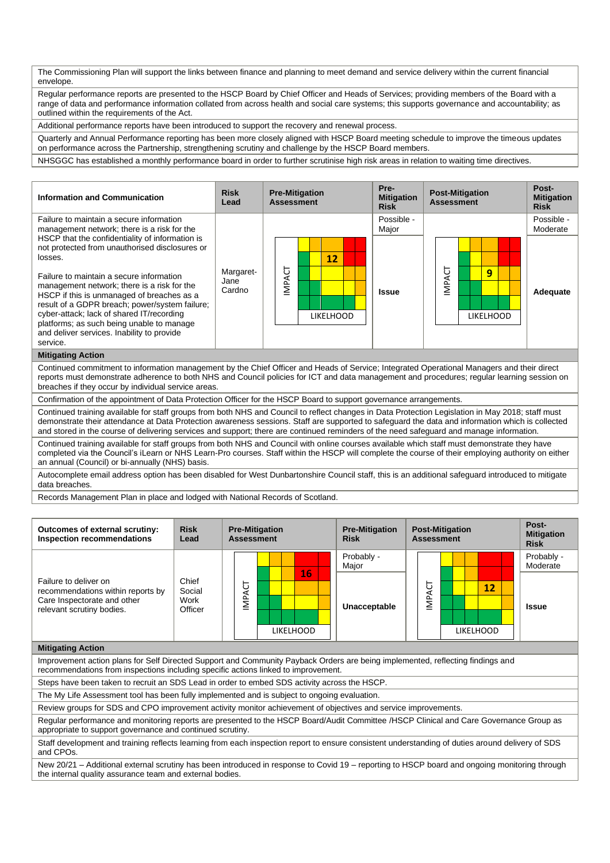The Commissioning Plan will support the links between finance and planning to meet demand and service delivery within the current financial envelope.

Regular performance reports are presented to the HSCP Board by Chief Officer and Heads of Services; providing members of the Board with a range of data and performance information collated from across health and social care systems; this supports governance and accountability; as outlined within the requirements of the Act.

Additional performance reports have been introduced to support the recovery and renewal process.

Quarterly and Annual Performance reporting has been more closely aligned with HSCP Board meeting schedule to improve the timeous updates on performance across the Partnership, strengthening scrutiny and challenge by the HSCP Board members.

NHSGGC has established a monthly performance board in order to further scrutinise high risk areas in relation to waiting time directives.



# **Mitigating Action**

Continued commitment to information management by the Chief Officer and Heads of Service; Integrated Operational Managers and their direct reports must demonstrate adherence to both NHS and Council policies for ICT and data management and procedures; regular learning session on breaches if they occur by individual service areas.

Confirmation of the appointment of Data Protection Officer for the HSCP Board to support governance arrangements.

Continued training available for staff groups from both NHS and Council to reflect changes in Data Protection Legislation in May 2018; staff must demonstrate their attendance at Data Protection awareness sessions. Staff are supported to safeguard the data and information which is collected and stored in the course of delivering services and support; there are continued reminders of the need safeguard and manage information.

Continued training available for staff groups from both NHS and Council with online courses available which staff must demonstrate they have completed via the Council's iLearn or NHS Learn-Pro courses. Staff within the HSCP will complete the course of their employing authority on either an annual (Council) or bi-annually (NHS) basis.

Autocomplete email address option has been disabled for West Dunbartonshire Council staff, this is an additional safeguard introduced to mitigate data breaches.

Records Management Plan in place and lodged with National Records of Scotland.

| <b>Outcomes of external scrutiny:</b><br>Inspection recommendations                                                                                                                                                  | <b>Risk</b><br>Lead                | <b>Pre-Mitigation</b><br><b>Assessment</b> |                        | <b>Pre-Mitigation</b><br><b>Risk</b> | <b>Assessment</b> | <b>Post-Mitigation</b> | Post-<br><b>Mitigation</b><br><b>Risk</b> |
|----------------------------------------------------------------------------------------------------------------------------------------------------------------------------------------------------------------------|------------------------------------|--------------------------------------------|------------------------|--------------------------------------|-------------------|------------------------|-------------------------------------------|
|                                                                                                                                                                                                                      |                                    |                                            |                        | Probably -<br>Major                  |                   |                        | Probably -<br>Moderate                    |
| Failure to deliver on<br>recommendations within reports by<br>Care Inspectorate and other<br>relevant scrutiny bodies.                                                                                               | Chief<br>Social<br>Work<br>Officer | MPACT                                      | 16<br><b>LIKELHOOD</b> | Unacceptable                         | 5<br>IMPA         | 12<br><b>LIKELHOOD</b> | <b>Issue</b>                              |
| <b>Mitigating Action</b>                                                                                                                                                                                             |                                    |                                            |                        |                                      |                   |                        |                                           |
| Improvement action plans for Self Directed Support and Community Payback Orders are being implemented, reflecting findings and<br>recommendations from inspections including specific actions linked to improvement. |                                    |                                            |                        |                                      |                   |                        |                                           |
| Steps have been taken to recruit an SDS Lead in order to embed SDS activity across the HSCP.                                                                                                                         |                                    |                                            |                        |                                      |                   |                        |                                           |
| The My Life Assessment tool has been fully implemented and is subject to ongoing evaluation.                                                                                                                         |                                    |                                            |                        |                                      |                   |                        |                                           |
| Review groups for SDS and CPO improvement activity monitor achievement of objectives and service improvements.                                                                                                       |                                    |                                            |                        |                                      |                   |                        |                                           |

Regular performance and monitoring reports are presented to the HSCP Board/Audit Committee /HSCP Clinical and Care Governance Group as appropriate to support governance and continued scrutiny.

Staff development and training reflects learning from each inspection report to ensure consistent understanding of duties around delivery of SDS and CPOs.

New 20/21 – Additional external scrutiny has been introduced in response to Covid 19 – reporting to HSCP board and ongoing monitoring through the internal quality assurance team and external bodies.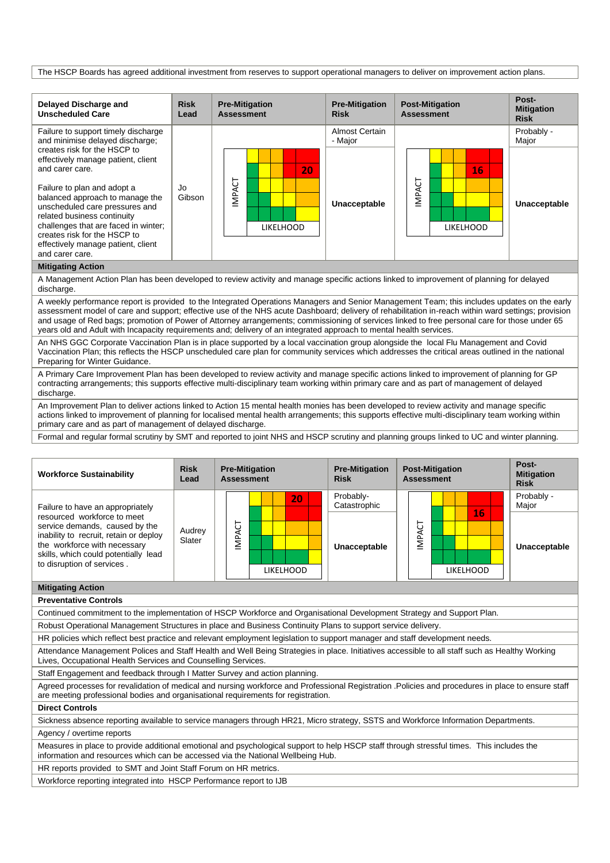The HSCP Boards has agreed additional investment from reserves to support operational managers to deliver on improvement action plans.



### **Mitigating Action**

A Management Action Plan has been developed to review activity and manage specific actions linked to improvement of planning for delayed discharge.

A weekly performance report is provided to the Integrated Operations Managers and Senior Management Team; this includes updates on the early assessment model of care and support; effective use of the NHS acute Dashboard; delivery of rehabilitation in-reach within ward settings; provision and usage of Red bags; promotion of Power of Attorney arrangements; commissioning of services linked to free personal care for those under 65 years old and Adult with Incapacity requirements and; delivery of an integrated approach to mental health services.

An NHS GGC Corporate Vaccination Plan is in place supported by a local vaccination group alongside the local Flu Management and Covid Vaccination Plan; this reflects the HSCP unscheduled care plan for community services which addresses the critical areas outlined in the national Preparing for Winter Guidance.

A Primary Care Improvement Plan has been developed to review activity and manage specific actions linked to improvement of planning for GP contracting arrangements; this supports effective multi-disciplinary team working within primary care and as part of management of delayed discharge.

An Improvement Plan to deliver actions linked to Action 15 mental health monies has been developed to review activity and manage specific actions linked to improvement of planning for localised mental health arrangements; this supports effective multi-disciplinary team working within primary care and as part of management of delayed discharge.

Formal and regular formal scrutiny by SMT and reported to joint NHS and HSCP scrutiny and planning groups linked to UC and winter planning.

| <b>Workforce Sustainability</b>                                                                                                                                                                               | <b>Risk</b><br>Lead | <b>Pre-Mitigation</b><br><b>Assessment</b> | <b>Pre-Mitigation</b><br><b>Risk</b> | <b>Post-Mitigation</b><br><b>Assessment</b> | Post-<br><b>Mitigation</b><br><b>Risk</b> |
|---------------------------------------------------------------------------------------------------------------------------------------------------------------------------------------------------------------|---------------------|--------------------------------------------|--------------------------------------|---------------------------------------------|-------------------------------------------|
| Failure to have an appropriately                                                                                                                                                                              |                     | 20                                         | Probably-<br>Catastrophic            |                                             | Probably -<br>Major                       |
| resourced workforce to meet<br>service demands, caused by the<br>inability to recruit, retain or deploy<br>the workforce with necessary<br>skills, which could potentially lead<br>to disruption of services. | Audrey<br>Slater    | ă<br>ξ<br><b>LIKELHOOD</b>                 | Unacceptable                         | 16<br>۵.<br><b>LIKELHOOD</b>                | Unacceptable                              |

#### **Mitigating Action**

**Preventative Controls** 

Continued commitment to the implementation of HSCP Workforce and Organisational Development Strategy and Support Plan.

Robust Operational Management Structures in place and Business Continuity Plans to support service delivery.

HR policies which reflect best practice and relevant employment legislation to support manager and staff development needs. Attendance Management Polices and Staff Health and Well Being Strategies in place. Initiatives accessible to all staff such as Healthy Working

Lives, Occupational Health Services and Counselling Services.

Staff Engagement and feedback through I Matter Survey and action planning.

Agreed processes for revalidation of medical and nursing workforce and Professional Registration .Policies and procedures in place to ensure staff are meeting professional bodies and organisational requirements for registration.

## **Direct Controls**

Sickness absence reporting available to service managers through HR21, Micro strategy, SSTS and Workforce Information Departments.

Agency / overtime reports

Measures in place to provide additional emotional and psychological support to help HSCP staff through stressful times. This includes the information and resources which can be accessed via the National Wellbeing Hub.

HR reports provided to SMT and Joint Staff Forum on HR metrics.

Workforce reporting integrated into HSCP Performance report to IJB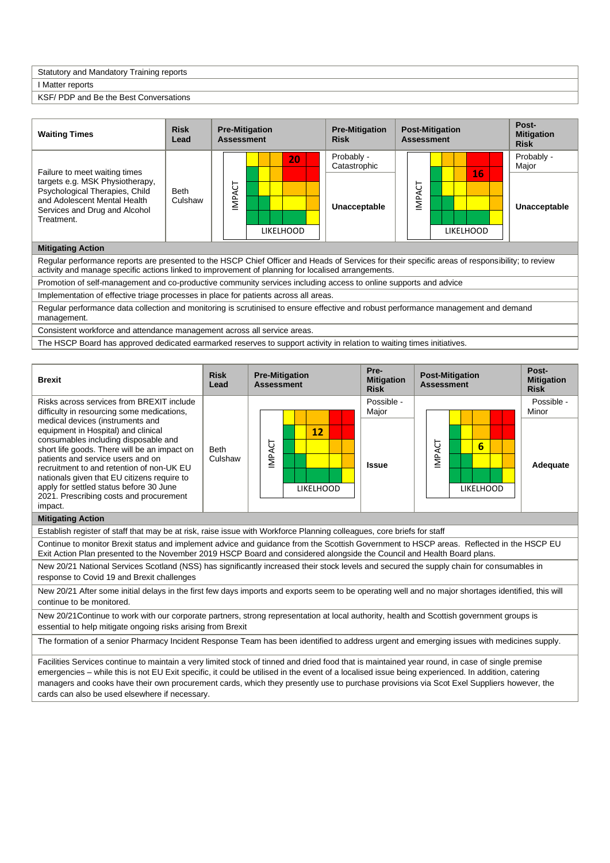#### Statutory and Mandatory Training reports

#### I Matter reports

KSF/ PDP and Be the Best Conversations

| <b>Waiting Times</b>                                                                                                                                                              | <b>Risk</b><br>Lead    | <b>Pre-Mitigation</b><br><b>Assessment</b>  | <b>Pre-Mitigation</b><br><b>Risk</b> | <b>Post-Mitigation</b><br><b>Assessment</b> | Post-<br><b>Mitigation</b><br><b>Risk</b> |
|-----------------------------------------------------------------------------------------------------------------------------------------------------------------------------------|------------------------|---------------------------------------------|--------------------------------------|---------------------------------------------|-------------------------------------------|
|                                                                                                                                                                                   |                        | 20                                          | Probably -<br>Catastrophic           |                                             | Probably -<br>Major                       |
| Failure to meet waiting times<br>targets e.g. MSK Physiotherapy,<br>Psychological Therapies, Child<br>and Adolescent Mental Health<br>Services and Drug and Alcohol<br>Treatment. | <b>Beth</b><br>Culshaw | ن<br>∢<br>$\Delta$<br>Ξ<br><b>LIKELHOOD</b> | Unacceptable                         | 16<br>$\sim$<br>Σ<br>LIKELHOOD              | Unacceptable                              |

## **Mitigating Action**

Regular performance reports are presented to the HSCP Chief Officer and Heads of Services for their specific areas of responsibility; to review activity and manage specific actions linked to improvement of planning for localised arrangements.

Promotion of self-management and co-productive community services including access to online supports and advice

Implementation of effective triage processes in place for patients across all areas.

Regular performance data collection and monitoring is scrutinised to ensure effective and robust performance management and demand management.

Consistent workforce and attendance management across all service areas.

The HSCP Board has approved dedicated earmarked reserves to support activity in relation to waiting times initiatives.



cards can also be used elsewhere if necessary.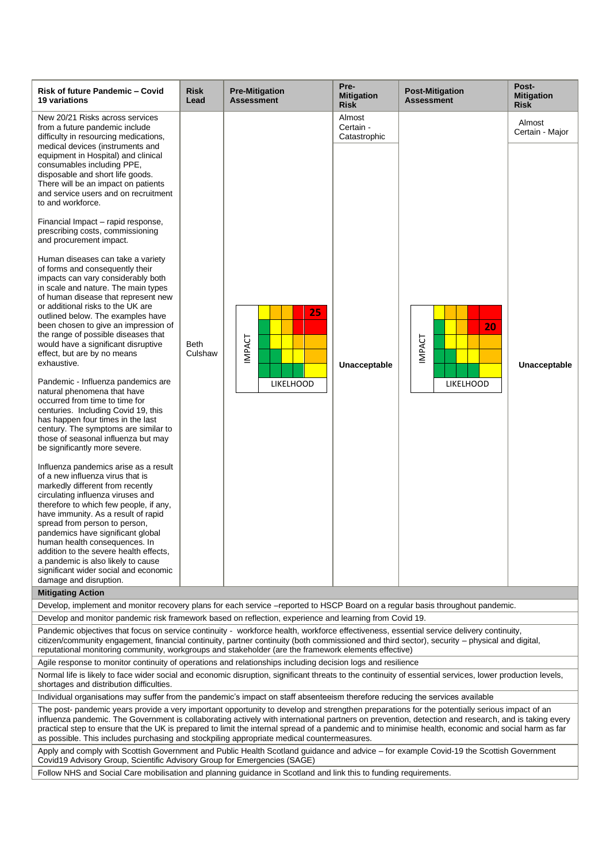## **Risk of future Pandemic -19 variations**

New 20/21 Risks across ser from a future pandemic include difficulty in resourcing medic medical devices (instrument equipment in Hospital) and o consumables including PPE disposable and short life good There will be an impact on p and service users and on reto and workforce.

Financial Impact – rapid responsion prescribing costs, commission and procurement impact.

Human diseases can take a of forms and consequently the impacts can vary considerably in scale and nature. The ma of human disease that repre or additional risks to the UK outlined below. The example been chosen to give an impr the range of possible diseas would have a significant disi effect, but are by no means exhaustive.

Pandemic - Influenza pande natural phenomena that hav occurred from time to time for centuries. Including Covid 1 has happen four times in the century. The symptoms are those of seasonal influenza be significantly more severe.

Influenza pandemics arise a of a new influenza virus that markedly different from rece circulating influenza viruses therefore to which few people have immunity. As a result of spread from person to perso pandemics have significant human health consequence addition to the severe health a pandemic is also likely to a significant wider social and e damage and disruption.

**Mitigating Action** 

| Covid                                                                                                                                         | <b>Risk</b><br>Lead | <b>Pre-Mitigation</b><br><b>Assessment</b> | Pre-<br><b>Mitigation</b><br><b>Risk</b> | <b>Post-Mitigation</b><br><b>Assessment</b> | Post-<br><b>Mitigation</b><br><b>Risk</b> |  |  |
|-----------------------------------------------------------------------------------------------------------------------------------------------|---------------------|--------------------------------------------|------------------------------------------|---------------------------------------------|-------------------------------------------|--|--|
| vices<br>ıde<br>cations,                                                                                                                      |                     |                                            | Almost<br>Certain -<br>Catastrophic      |                                             | Almost<br>Certain - Major                 |  |  |
| s and<br>clinical<br>ods.<br>atients<br>cruitment<br>ponse,<br>oning                                                                          |                     |                                            |                                          |                                             |                                           |  |  |
| variety<br>heir<br>bly both<br>in types<br>sent new<br>are<br>es have<br>ression of<br>es that<br>ruptive                                     | Beth<br>Culshaw     | 25<br>MPACT                                | Unacceptable                             | 20<br><b>IMPACT</b>                         | Unacceptable                              |  |  |
| mics are<br>e<br>эr<br>9, this<br>e last<br>similar to<br>but may<br><sub>i</sub> s a result<br>is.<br>ntly<br>and<br>le, if any,<br>of rapid |                     | <b>LIKELHOOD</b>                           |                                          | <b>LIKELHOOD</b>                            |                                           |  |  |
| λn,<br>global<br>s. In<br>າ effects,<br>cause<br>economic                                                                                     |                     |                                            |                                          |                                             |                                           |  |  |
| nitor recovery plans for each service - reported to HSCP Board on a regular basis throughout pandemic.                                        |                     |                                            |                                          |                                             |                                           |  |  |

Develop, implement and mo Develop and monitor pandemic risk framework based on reflection, experience and learning from Covid 19.

Pandemic objectives that focus on service continuity - workforce health, workforce effectiveness, essential service delivery continuity citizen/community engagement, financial continuity, partner continuity (both commissioned and third sector), security – physical and digital, reputational monitoring community, workgroups and stakeholder (are the framework elements effective)

Agile response to monitor continuity of operations and relationships including decision logs and resilience

Normal life is likely to face wider social and economic disruption, significant threats to the continuity of essential services, lower production levels, shortages and distribution difficulties.

Individual organisations may suffer from the pandemic's impact on staff absenteeism therefore reducing the services available

The post- pandemic years provide a very important opportunity to develop and strengthen preparations for the potentially serious impact of an influenza pandemic. The Government is collaborating actively with international partners on prevention, detection and research, and is taking every practical step to ensure that the UK is prepared to limit the internal spread of a pandemic and to minimise health, economic and social harm as far as possible. This includes purchasing and stockpiling appropriate medical countermeasures.

Apply and comply with Scottish Government and Public Health Scotland guidance and advice – for example Covid-19 the Scottish Government Covid19 Advisory Group, Scientific Advisory Group for Emergencies (SAGE)

Follow NHS and Social Care mobilisation and planning guidance in Scotland and link this to funding requirements.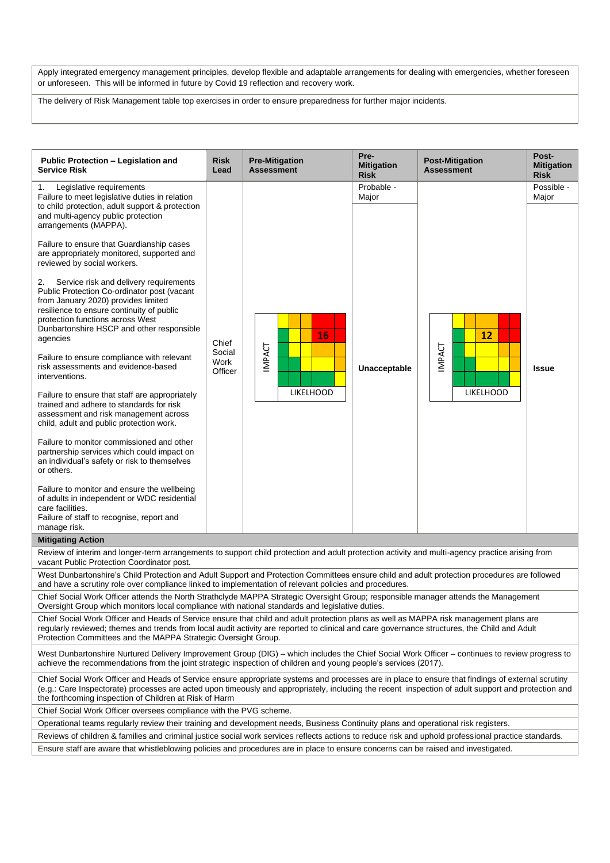Apply integrated emergency management principles, develop flexible and adaptable arrangements for dealing with emergencies, whether foreseen or unforeseen. This will be informed in future by Covid 19 reflection and recovery work.

The delivery of Risk Management table top exercises in order to ensure preparedness for further major incidents.

| Public Protection - Legislation and<br><b>Service Risk</b>                                                                                                                                                                                                                                                                                                         | <b>Risk</b><br>Lead       | <b>Pre-Mitigation</b><br><b>Assessment</b> | Pre-<br><b>Mitigation</b><br><b>Risk</b> | <b>Post-Mitigation</b><br><b>Assessment</b> | Post-<br><b>Mitigation</b><br><b>Risk</b> |  |  |  |
|--------------------------------------------------------------------------------------------------------------------------------------------------------------------------------------------------------------------------------------------------------------------------------------------------------------------------------------------------------------------|---------------------------|--------------------------------------------|------------------------------------------|---------------------------------------------|-------------------------------------------|--|--|--|
| Legislative requirements<br>1.<br>Failure to meet legislative duties in relation<br>to child protection, adult support & protection<br>and multi-agency public protection<br>arrangements (MAPPA).                                                                                                                                                                 |                           |                                            | Probable -<br>Major                      |                                             | Possible -<br>Major                       |  |  |  |
| Failure to ensure that Guardianship cases<br>are appropriately monitored, supported and<br>reviewed by social workers.                                                                                                                                                                                                                                             |                           |                                            |                                          |                                             |                                           |  |  |  |
| Service risk and delivery requirements<br>2.<br>Public Protection Co-ordinator post (vacant<br>from January 2020) provides limited<br>resilience to ensure continuity of public<br>protection functions across West<br>Dunbartonshire HSCP and other responsible<br>agencies                                                                                       | Chief                     | 16                                         |                                          | 12                                          |                                           |  |  |  |
| Failure to ensure compliance with relevant<br>risk assessments and evidence-based<br>interventions.                                                                                                                                                                                                                                                                | Social<br>Work<br>Officer | <b>INPACT</b>                              | Unacceptable                             | <b>INPACT</b>                               | <b>Issue</b>                              |  |  |  |
| Failure to ensure that staff are appropriately<br>trained and adhere to standards for risk<br>assessment and risk management across<br>child, adult and public protection work.                                                                                                                                                                                    |                           | <b>LIKELHOOD</b>                           |                                          | <b>LIKELHOOD</b>                            |                                           |  |  |  |
| Failure to monitor commissioned and other<br>partnership services which could impact on<br>an individual's safety or risk to themselves<br>or others.                                                                                                                                                                                                              |                           |                                            |                                          |                                             |                                           |  |  |  |
| Failure to monitor and ensure the wellbeing<br>of adults in independent or WDC residential<br>care facilities.<br>Failure of staff to recognise, report and                                                                                                                                                                                                        |                           |                                            |                                          |                                             |                                           |  |  |  |
| manage risk.<br><b>Mitigating Action</b>                                                                                                                                                                                                                                                                                                                           |                           |                                            |                                          |                                             |                                           |  |  |  |
| Review of interim and longer-term arrangements to support child protection and adult protection activity and multi-agency practice arising from<br>vacant Public Protection Coordinator post.                                                                                                                                                                      |                           |                                            |                                          |                                             |                                           |  |  |  |
| West Dunbartonshire's Child Protection and Adult Support and Protection Committees ensure child and adult protection procedures are followed<br>and have a scrutiny role over compliance linked to implementation of relevant policies and procedures.                                                                                                             |                           |                                            |                                          |                                             |                                           |  |  |  |
| Chief Social Work Officer attends the North Strathclyde MAPPA Strategic Oversight Group; responsible manager attends the Management<br>Oversight Group which monitors local compliance with national standards and legislative duties.                                                                                                                             |                           |                                            |                                          |                                             |                                           |  |  |  |
| Chief Social Work Officer and Heads of Service ensure that child and adult protection plans as well as MAPPA risk management plans are<br>reqularly reviewed; themes and trends from local audit activity are reported to clinical and care governance structures, the Child and Adult<br>Protection Committees and the MAPPA Strategic Oversight Group.           |                           |                                            |                                          |                                             |                                           |  |  |  |
| West Dunbartonshire Nurtured Delivery Improvement Group (DIG) – which includes the Chief Social Work Officer – continues to review progress to<br>achieve the recommendations from the joint strategic inspection of children and young people's services (2017).                                                                                                  |                           |                                            |                                          |                                             |                                           |  |  |  |
| Chief Social Work Officer and Heads of Service ensure appropriate systems and processes are in place to ensure that findings of external scrutiny<br>(e.g.: Care Inspectorate) processes are acted upon timeously and appropriately, including the recent inspection of adult support and protection and<br>the forthcoming inspection of Children at Risk of Harm |                           |                                            |                                          |                                             |                                           |  |  |  |
| Chief Social Work Officer oversees compliance with the PVG scheme.                                                                                                                                                                                                                                                                                                 |                           |                                            |                                          |                                             |                                           |  |  |  |
| Operational teams regularly review their training and development needs, Business Continuity plans and operational risk registers.                                                                                                                                                                                                                                 |                           |                                            |                                          |                                             |                                           |  |  |  |
| Reviews of children & families and criminal justice social work services reflects actions to reduce risk and uphold professional practice standards.                                                                                                                                                                                                               |                           |                                            |                                          |                                             |                                           |  |  |  |
| Ensure staff are aware that whistleblowing policies and procedures are in place to ensure concerns can be raised and investigated.                                                                                                                                                                                                                                 |                           |                                            |                                          |                                             |                                           |  |  |  |